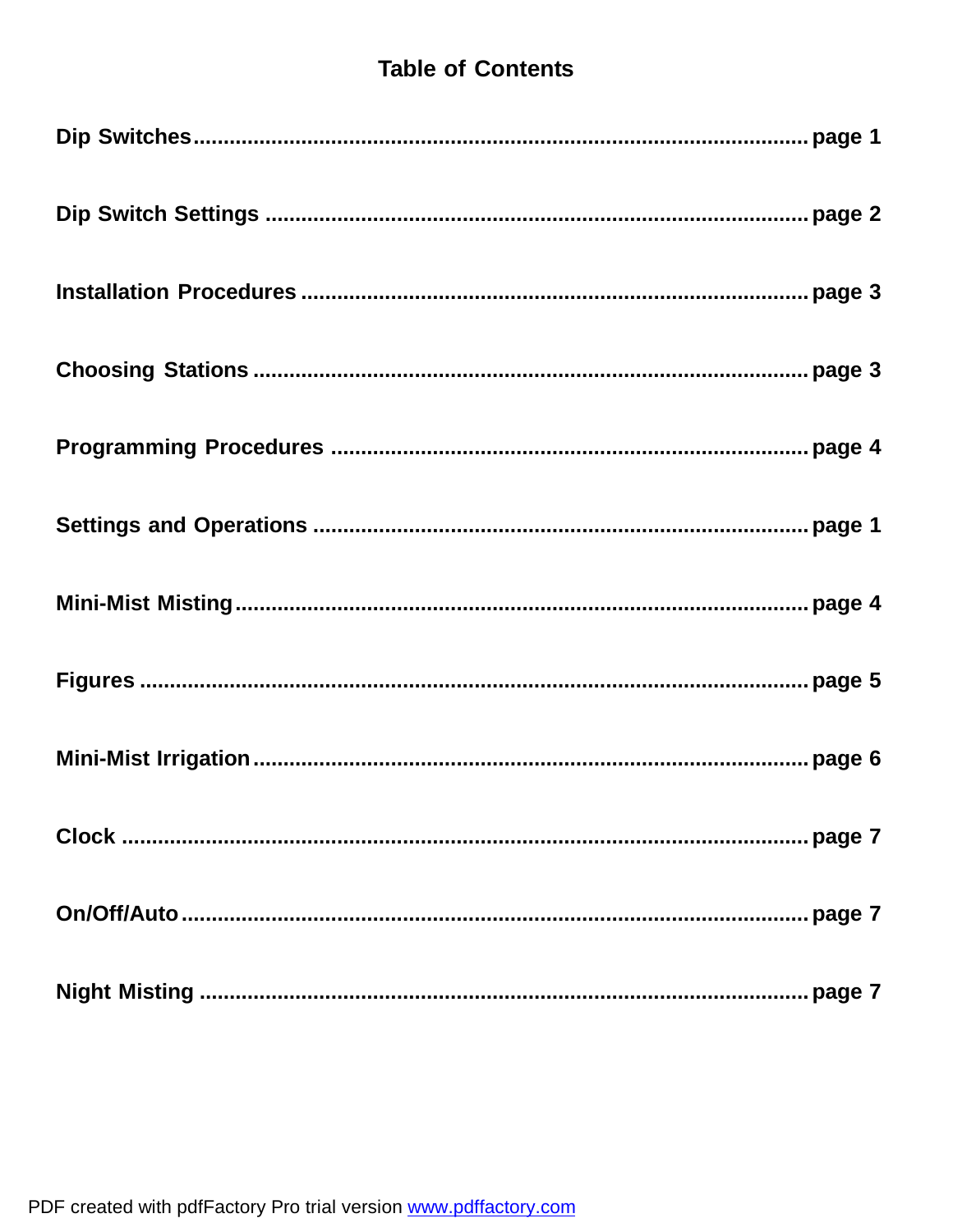# **Table of Contents**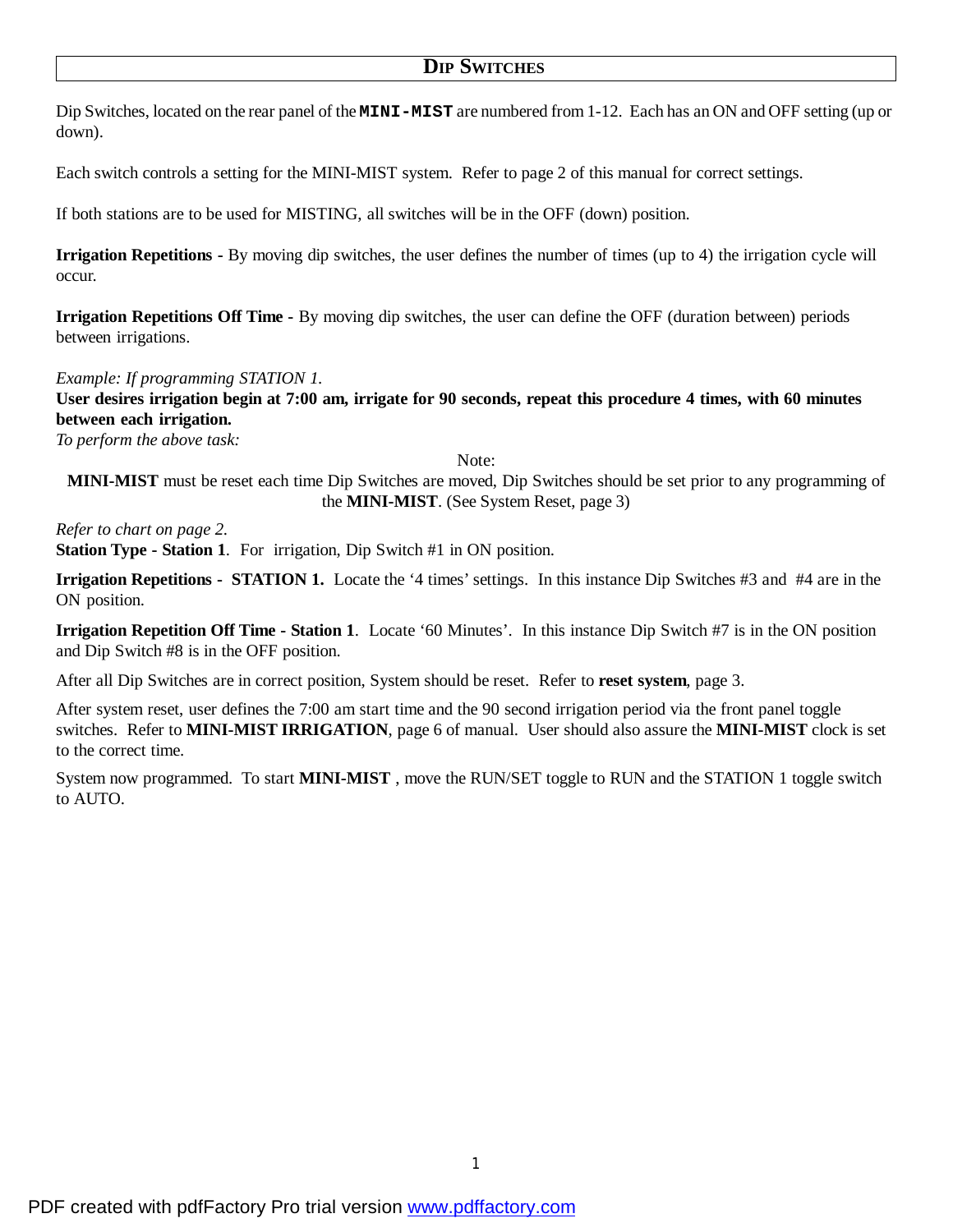## **DIP SWITCHES**

Dip Switches, located on the rear panel of the **MINI-MIST** are numbered from 1-12. Each has an ON and OFF setting (up or down).

Each switch controls a setting for the MINI-MIST system. Refer to page 2 of this manual for correct settings.

If both stations are to be used for MISTING, all switches will be in the OFF (down) position.

**Irrigation Repetitions -** By moving dip switches, the user defines the number of times (up to 4) the irrigation cycle will occur.

**Irrigation Repetitions Off Time -** By moving dip switches, the user can define the OFF (duration between) periods between irrigations.

### *Example: If programming STATION 1.*

User desires irrigation begin at 7:00 am, irrigate for 90 seconds, repeat this procedure 4 times, with 60 minutes **between each irrigation.**

*To perform the above task:*

Note:

**MINI-MIST** must be reset each time Dip Switches are moved, Dip Switches should be set prior to any programming of the **MINI-MIST**. (See System Reset, page 3)

*Refer to chart on page 2.*

**Station Type - Station 1**. For irrigation, Dip Switch #1 in ON position.

**Irrigation Repetitions - STATION 1.** Locate the '4 times' settings. In this instance Dip Switches #3 and #4 are in the ON position.

**Irrigation Repetition Off Time - Station 1**. Locate '60 Minutes'. In this instance Dip Switch #7 is in the ON position and Dip Switch #8 is in the OFF position.

After all Dip Switches are in correct position, System should be reset. Refer to **reset system**, page 3.

After system reset, user defines the 7:00 am start time and the 90 second irrigation period via the front panel toggle switches. Refer to **MINI-MIST IRRIGATION**, page 6 of manual. User should also assure the **MINI-MIST** clock is set to the correct time.

System now programmed. To start **MINI-MIST** , move the RUN/SET toggle to RUN and the STATION 1 toggle switch to AUTO.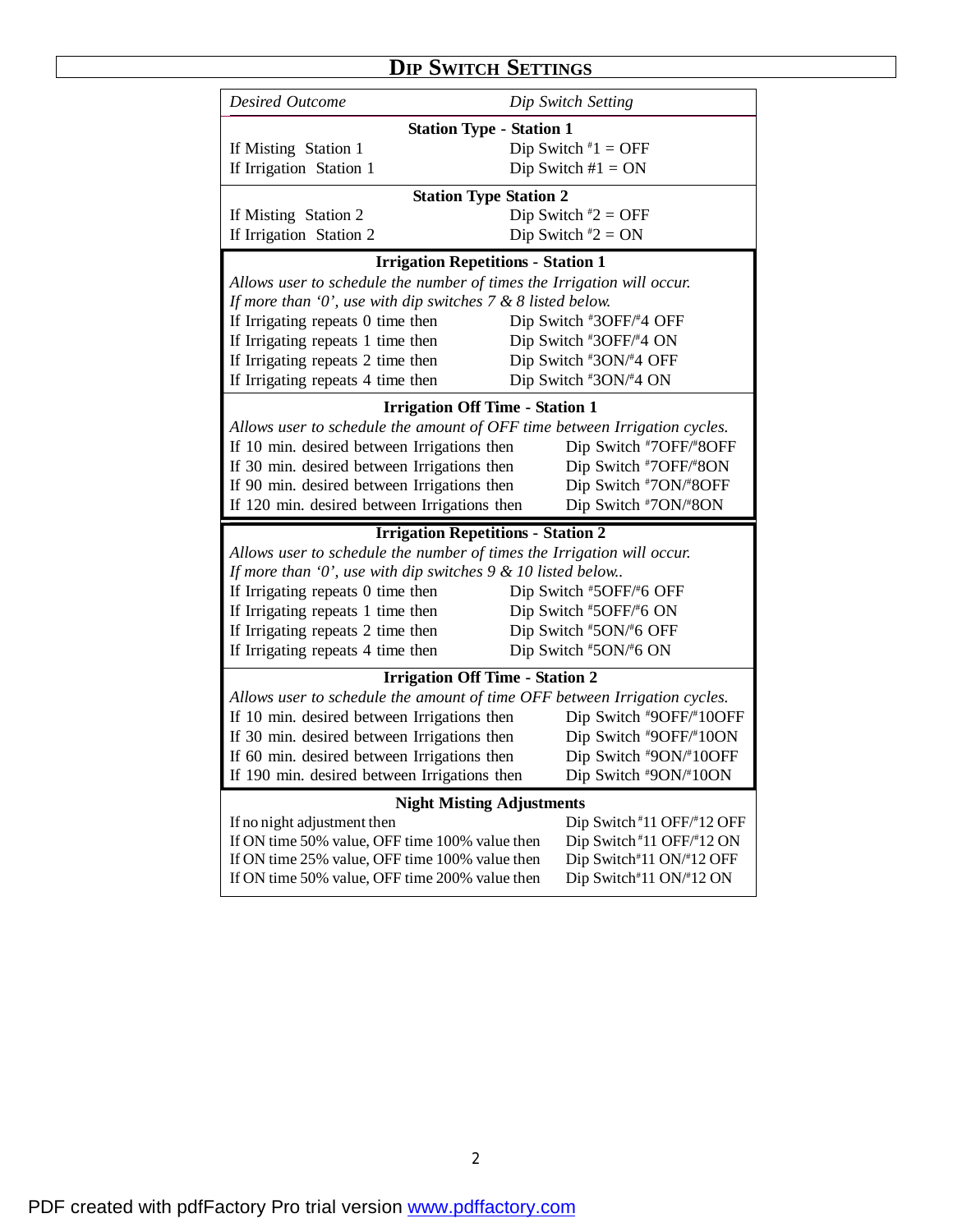# **DIP SWITCH SETTINGS**

| <b>Desired Outcome</b>                                                                           | Dip Switch Setting                                  |  |  |
|--------------------------------------------------------------------------------------------------|-----------------------------------------------------|--|--|
| <b>Station Type - Station 1</b>                                                                  |                                                     |  |  |
| If Misting Station 1                                                                             | Dip Switch $*1 =$ OFF                               |  |  |
| If Irrigation Station 1                                                                          | Dip Switch $#1 = ON$                                |  |  |
| <b>Station Type Station 2</b>                                                                    |                                                     |  |  |
| If Misting Station 2                                                                             | Dip Switch $*2 = OFF$                               |  |  |
| If Irrigation Station 2                                                                          | Dip Switch $*2 = ON$                                |  |  |
| <b>Irrigation Repetitions - Station 1</b>                                                        |                                                     |  |  |
| Allows user to schedule the number of times the Irrigation will occur.                           |                                                     |  |  |
| If more than 'O', use with dip switches $7 & 8$ 8 listed below.                                  |                                                     |  |  |
| If Irrigating repeats 0 time then                                                                | Dip Switch #3OFF/#4 OFF                             |  |  |
| If Irrigating repeats 1 time then                                                                | Dip Switch #3OFF/#4 ON                              |  |  |
| If Irrigating repeats 2 time then                                                                | Dip Switch #3ON/#4 OFF                              |  |  |
| If Irrigating repeats 4 time then                                                                | Dip Switch #3ON/#4 ON                               |  |  |
| <b>Irrigation Off Time - Station 1</b>                                                           |                                                     |  |  |
| Allows user to schedule the amount of OFF time between Irrigation cycles.                        |                                                     |  |  |
| If 10 min. desired between Irrigations then                                                      | Dip Switch #7OFF/#8OFF                              |  |  |
| If 30 min. desired between Irrigations then                                                      | Dip Switch #7OFF/#8ON                               |  |  |
| If 90 min. desired between Irrigations then                                                      | Dip Switch #7ON/#8OFF                               |  |  |
|                                                                                                  |                                                     |  |  |
| If 120 min. desired between Irrigations then                                                     | Dip Switch #7ON/#8ON                                |  |  |
| <b>Irrigation Repetitions - Station 2</b>                                                        |                                                     |  |  |
| Allows user to schedule the number of times the Irrigation will occur.                           |                                                     |  |  |
| If more than 'O', use with dip switches $9 < 10$ listed below.                                   |                                                     |  |  |
| If Irrigating repeats 0 time then                                                                | Dip Switch #5OFF/#6 OFF                             |  |  |
| If Irrigating repeats 1 time then                                                                | Dip Switch #5OFF/#6 ON                              |  |  |
| If Irrigating repeats 2 time then                                                                | Dip Switch #5ON/#6 OFF                              |  |  |
| If Irrigating repeats 4 time then                                                                | Dip Switch #5ON/#6 ON                               |  |  |
| <b>Irrigation Off Time - Station 2</b>                                                           |                                                     |  |  |
| Allows user to schedule the amount of time OFF between Irrigation cycles.                        |                                                     |  |  |
| If 10 min. desired between Irrigations then                                                      | Dip Switch #9OFF/#10OFF                             |  |  |
| If 30 min. desired between Irrigations then                                                      | Dip Switch #9OFF/#10ON                              |  |  |
| If 60 min. desired between Irrigations then                                                      | Dip Switch #9ON/#10OFF                              |  |  |
| If 190 min. desired between Irrigations then                                                     | Dip Switch #9ON/#10ON                               |  |  |
| <b>Night Misting Adjustments</b>                                                                 |                                                     |  |  |
| If no night adjustment then                                                                      | Dip Switch#11 OFF/#12 OFF                           |  |  |
| If ON time 50% value, OFF time 100% value then                                                   | Dip Switch #11 OFF/#12 ON                           |  |  |
| If ON time 25% value, OFF time 100% value then<br>If ON time 50% value, OFF time 200% value then | Dip Switch#11 ON/#12 OFF<br>Dip Switch#11 ON/#12 ON |  |  |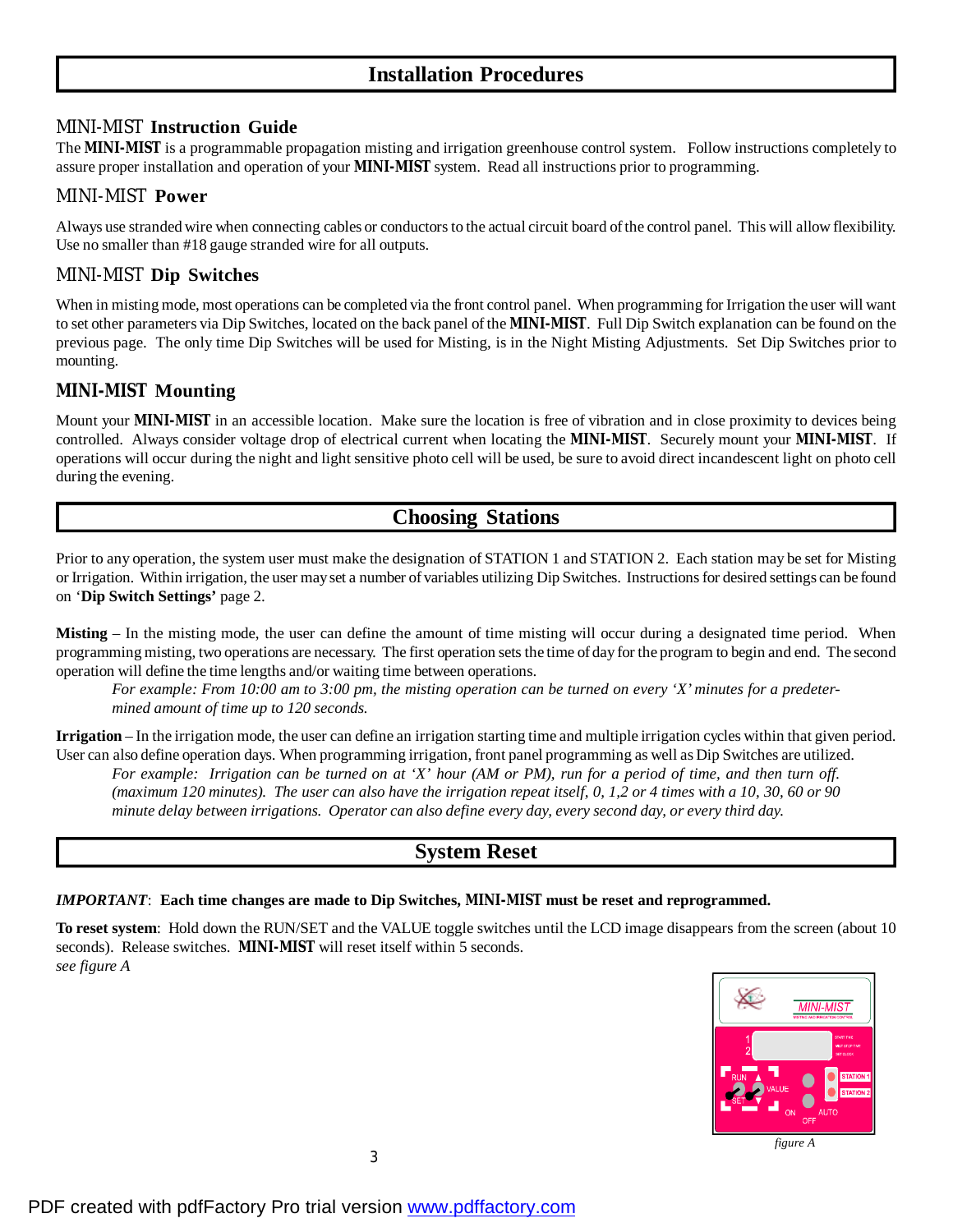# **Installation Procedures**

## *MINI-MIST* **Instruction Guide**

The *MINI-MIST* is a programmable propagation misting and irrigation greenhouse control system. Follow instructions completely to assure proper installation and operation of your *MINI-MIST* system. Read all instructions prior to programming.

### *MINI-MIST* **Power**

Always use stranded wire when connecting cables or conductorsto the actual circuit board ofthe control panel. This will allow flexibility. Use no smaller than #18 gauge stranded wire for all outputs.

### *MINI-MIST* **Dip Switches**

When in misting mode, most operations can be completed via the front control panel. When programming for Irrigation the user will want to set other parameters via Dip Switches, located on the back panel of the *MINI-MIST*. Full Dip Switch explanation can be found on the previous page. The only time Dip Switches will be used for Misting, is in the Night Misting Adjustments. Set Dip Switches prior to mounting.

### *MINI-MIST* **Mounting**

Mount your *MINI-MIST* in an accessible location. Make sure the location is free of vibration and in close proximity to devices being controlled. Always consider voltage drop of electrical current when locating the *MINI-MIST*. Securely mount your *MINI-MIST*. If operations will occur during the night and light sensitive photo cell will be used, be sure to avoid direct incandescent light on photo cell during the evening.

## **Choosing Stations**

Prior to any operation, the system user must make the designation of STATION 1 and STATION 2. Each station may be set for Misting or Irrigation. Within irrigation, the user mayset a number of variables utilizing Dip Switches. Instructionsfor desired settings can be found on '**Dip Switch Settings'** page 2.

**Misting** – In the misting mode, the user can define the amount of time misting will occur during a designated time period. When programming misting, two operations are necessary. The first operation sets the time of day for the program to begin and end. The second operation will define the time lengths and/or waiting time between operations.

For example: From 10:00 am to 3:00 pm, the misting operation can be turned on every 'X' minutes for a predeter*mined amount of time up to 120 seconds.*

**Irrigation** – In the irrigation mode, the user can define an irrigation starting time and multiple irrigation cycles within that given period. User can also define operation days. When programming irrigation, front panel programming as well as Dip Switches are utilized. For example: Irrigation can be turned on at 'X' hour (AM or PM), run for a period of time, and then turn off. (maximum 120 minutes). The user can also have the irrigation repeat itself, 0, 1,2 or 4 times with a 10, 30, 60 or 90 *minute delay between irrigations. Operator can also define every day, every second day, or every third day.*

## **System Reset**

#### *IMPORTANT*: **Each time changes are made to Dip Switches,** *MINI-MIST* **must be reset and reprogrammed.**

**To reset system**: Hold down the RUN/SET and the VALUE toggle switches until the LCD image disappears from the screen (about 10 seconds). Release switches. *MINI-MIST* will reset itself within 5 seconds. *see figure A*



*figure A*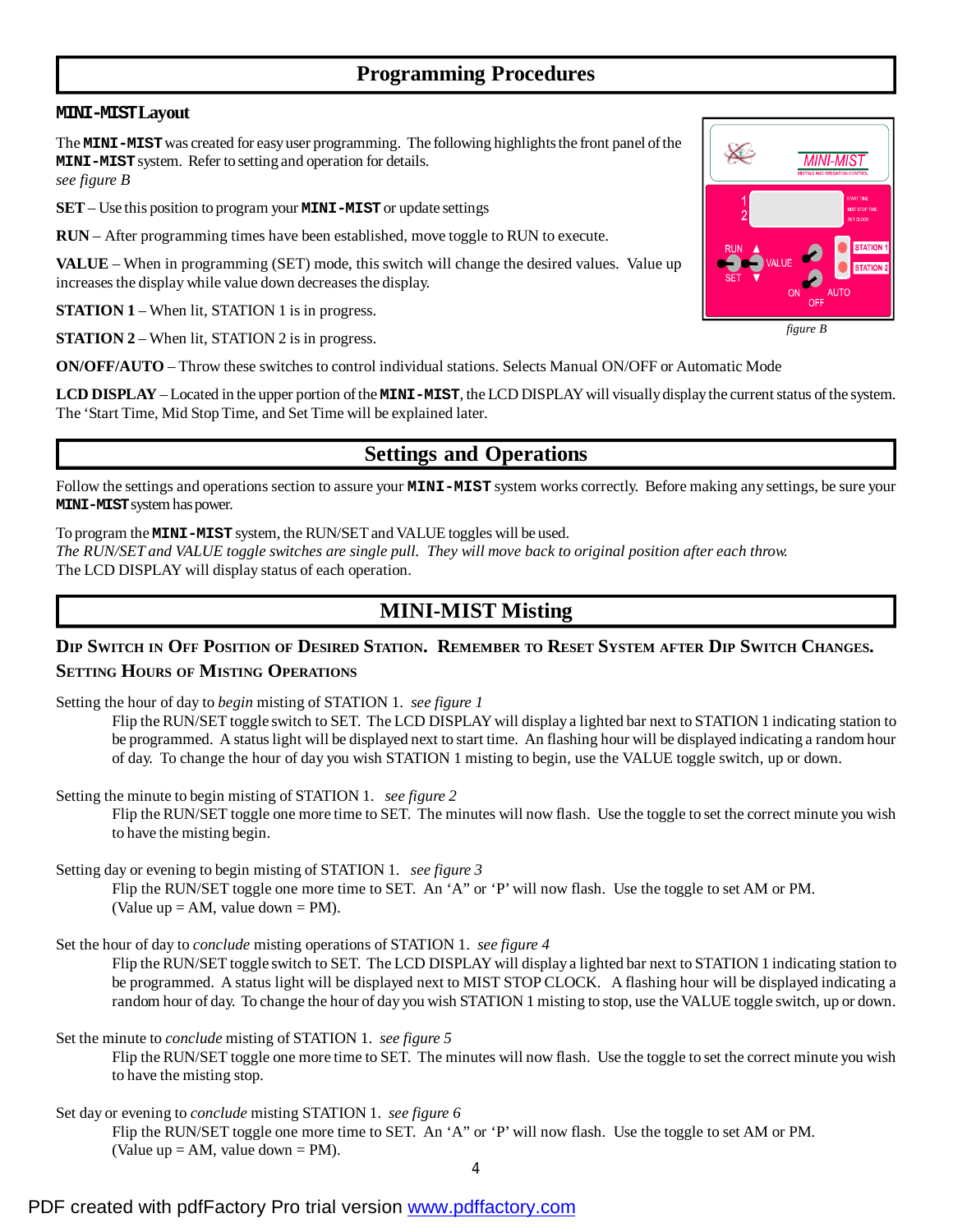# **Programming Procedures**

### **MINI-MISTLayout**

The **MINI-MIST**was created for easyuser programming. The following highlightsthe front panel ofthe **MINI-MIST**system. Refer to setting and operation for details. *see figure B*

**SET**– Use this position to program your **MINI-MIST**or update settings

**RUN** – After programming times have been established, move toggle to RUN to execute.

**VALUE** – When in programming (SET) mode, this switch will change the desired values. Value up increasesthe display while value down decreases the display.

**STATION 1** – When lit, STATION 1 is in progress.

**STATION 2** – When lit, STATION 2 is in progress.

**ON/OFF/AUTO** – Throw these switches to control individual stations. Selects Manual ON/OFF or Automatic Mode

LCD **DISPLAY** – Located in the upper portion of the **MINI-MIST**, the LCD DISPLAY will visually display the current status of the system. The 'Start Time, Mid Stop Time, and Set Time will be explained later.

## **Settings and Operations**

Follow the settings and operations section to assure your **MINI-MIST** system works correctly. Before making any settings, be sure your **MINI-MIST**systemhaspower.

To program the **MINI-MIST** system, the RUN/SETandVALUE toggles will be used.

The RUN/SET and VALUE toggle switches are single pull. They will move back to original position after each throw. The LCD DISPLAY will display status of each operation.

## **MINI-MIST Misting**

## DIP SWITCH IN OFF POSITION OF DESIRED STATION. REMEMBER TO RESET SYSTEM AFTER DIP SWITCH CHANGES. **SETTING HOURS OF MISTING OPERATIONS**

Setting the hour of day to *begin* misting of STATION 1.*see figure 1*

Flip the RUN/SET toggle switch to SET. The LCD DISPLAYwill display a lighted bar next to STATION 1 indicating station to be programmed. A statuslight will be displayed next to start time. An flashing hour will be displayed indicating a random hour of day. To change the hour of day you wish STATION 1 misting to begin, use the VALUE toggle switch, up or down.

Setting the minute to begin misting of STATION 1. *see figure 2*

Flip the RUN/SET toggle one more time to SET. The minutes will now flash. Use the toggle to set the correct minute you wish to have the misting begin.

Setting day or evening to begin misting of STATION 1. *see figure 3*

Flip the RUN/SET toggle one more time to SET. An 'A" or 'P' will now flash. Use the toggle to set AM or PM. (Value up  $= AM$ , value down  $= PM$ ).

Set the hour of day to *conclude* misting operations of STATION 1. *see figure 4*

Flip the RUN/SET toggle switch to SET. The LCD DISPLAYwill display a lighted bar next to STATION 1 indicating station to be programmed. A status light will be displayed next to MIST STOP CLOCK. A flashing hour will be displayed indicating a random hour of day. To change the hour of day you wish STATION 1 misting to stop, use the VALUE toggle switch, up or down.

Set the minute to *conclude* misting of STATION 1. *see figure 5* Flip the RUN/SET toggle one more time to SET. The minutes will now flash. Use the toggle to set the correct minute you wish to have the misting stop.

Set day or evening to *conclude* misting STATION 1. *see figure 6* Flip the RUN/SET toggle one more time to SET. An 'A" or 'P' will now flash. Use the toggle to set AM or PM. (Value up  $= AM$ , value down  $= PM$ ).



*figure B*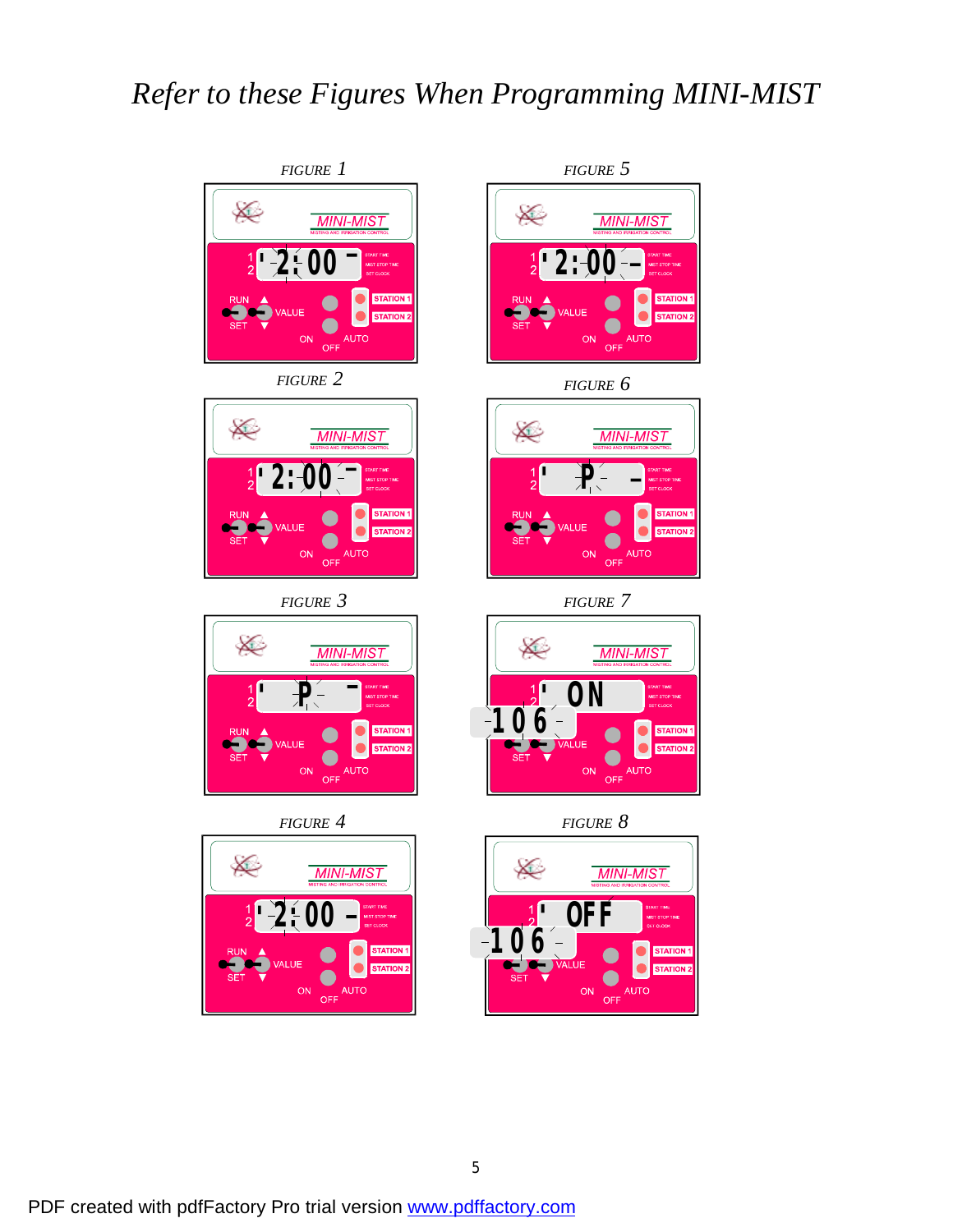# *Refer to these Figures When Programming MINI-MIST*









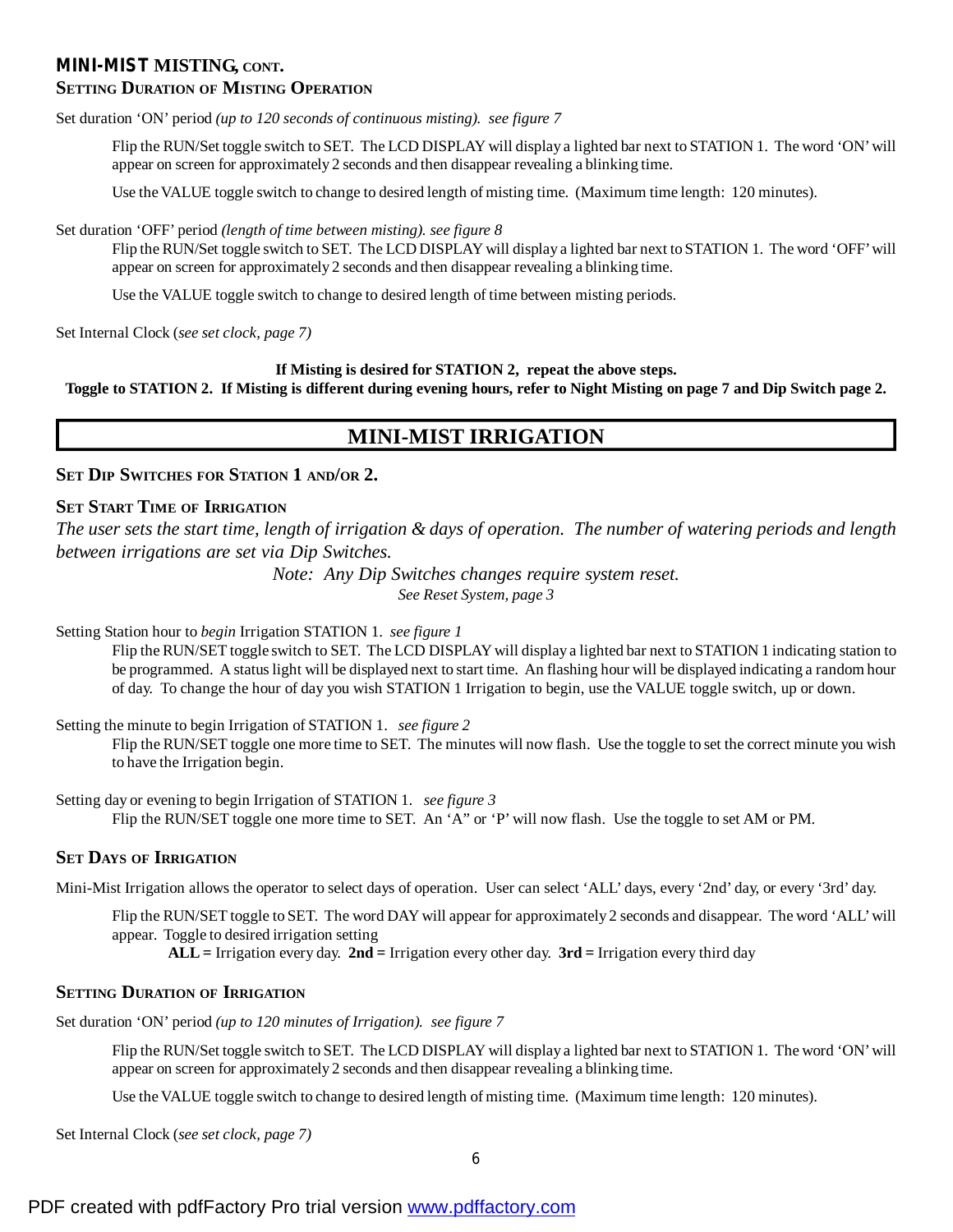### **MINI-MIST MISTING, CONT.**

## **SETTING DURATION OF MISTING OPERATION**

Set duration 'ON' period *(up to 120 seconds of continuous misting). see figure 7*

Flip the RUN/Set toggle switch to SET. The LCD DISPLAY will display a lighted bar next to STATION 1. The word 'ON'will appear on screen for approximately 2 seconds and then disappear revealing a blinking time.

Use the VALUE toggle switch to change to desired length of misting time. (Maximum time length: 120 minutes).

Set duration 'OFF' period *(length of time between misting). see figure 8*

Flip the RUN/Set toggle switch to SET. The LCD DISPLAY will display a lighted bar next to STATION 1. The word 'OFF'will appear on screen for approximately 2 seconds and then disappear revealing a blinking time.

Use the VALUE toggle switch to change to desired length of time between misting periods.

Set Internal Clock (*see set clock, page 7)*

### **If Misting is desired for STATION 2, repeat the above steps.**

Toggle to STATION 2. If Misting is different during evening hours, refer to Night Misting on page 7 and Dip Switch page 2.

# **MINI-MIST IRRIGATION**

### **SET DIP SWITCHES FOR STATION 1 AND/OR 2.**

## **SET START TIME OF IRRIGATION**

*The user sets the start time, length of irrigation & days of operation. The number of watering periods and length between irrigations are set via Dip Switches.*

> *Note: Any Dip Switches changes require system reset. See Reset System, page 3*

Setting Station hour to *begin* Irrigation STATION 1. *see figure 1*

Flip the RUN/SET toggle switch to SET. The LCD DISPLAYwill display a lighted bar next to STATION 1 indicating station to be programmed. A statuslight will be displayed next to start time. An flashing hour will be displayed indicating a random hour of day. To change the hour of day you wish STATION 1 Irrigation to begin, use the VALUE toggle switch, up or down.

Setting the minute to begin Irrigation of STATION 1. *see figure 2*

Flip the RUN/SET toggle one more time to SET. The minutes will now flash. Use the toggle to set the correct minute you wish to have the Irrigation begin.

Setting day or evening to begin Irrigation of STATION 1. *see figure 3* Flip the RUN/SET toggle one more time to SET. An 'A" or 'P' will now flash. Use the toggle to set AM or PM.

## **SET DAYS OF IRRIGATION**

Mini-Mist Irrigation allows the operator to select days of operation. User can select 'ALL' days, every '2nd' day, or every '3rd' day.

Flip the RUN/SET toggle to SET. The word DAY will appear for approximately 2 seconds and disappear. The word 'ALL'will appear. Toggle to desired irrigation setting

**ALL=** Irrigation every day. **2nd =** Irrigation every other day. **3rd =** Irrigation every third day

## **SETTING DURATION OF IRRIGATION**

Set duration 'ON' period *(up to 120 minutes of Irrigation). see figure 7*

Flip the RUN/Set toggle switch to SET. The LCD DISPLAY will display a lighted bar next to STATION 1. The word 'ON'will appear on screen for approximately 2 seconds and then disappear revealing a blinking time.

Use the VALUE toggle switch to change to desired length of misting time. (Maximum time length: 120 minutes).

Set Internal Clock (*see set clock, page 7)*